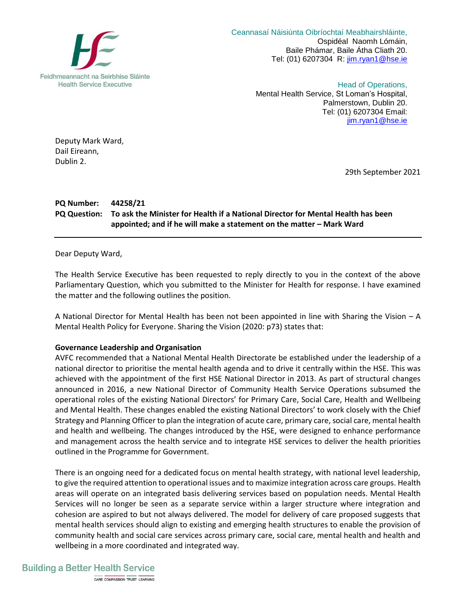

 Ceannasaí Náisiúnta Oibríochtaí Meabhairshláinte, Ospidéal Naomh Lómáin, Baile Phámar, Baile Átha Cliath 20. Tel: (01) 6207304 R: [jim.ryan1@hse.ie](mailto:jim.ryan1@hse.ie)

> Head of Operations, Mental Health Service, St Loman's Hospital, Palmerstown, Dublin 20. Tel: (01) 6207304 Email: [jim.ryan1@hse.ie](mailto:jim.ryan1@hse.ie)

Deputy Mark Ward, Dail Eireann, Dublin 2.

29th September 2021

## **PQ Number: 44258/21 PQ Question: To ask the Minister for Health if a National Director for Mental Health has been appointed; and if he will make a statement on the matter – Mark Ward**

Dear Deputy Ward,

The Health Service Executive has been requested to reply directly to you in the context of the above Parliamentary Question, which you submitted to the Minister for Health for response. I have examined the matter and the following outlines the position.

A National Director for Mental Health has been not been appointed in line with Sharing the Vision – A Mental Health Policy for Everyone. Sharing the Vision (2020: p73) states that:

## **Governance Leadership and Organisation**

AVFC recommended that a National Mental Health Directorate be established under the leadership of a national director to prioritise the mental health agenda and to drive it centrally within the HSE. This was achieved with the appointment of the first HSE National Director in 2013. As part of structural changes announced in 2016, a new National Director of Community Health Service Operations subsumed the operational roles of the existing National Directors' for Primary Care, Social Care, Health and Wellbeing and Mental Health. These changes enabled the existing National Directors' to work closely with the Chief Strategy and Planning Officer to plan the integration of acute care, primary care, social care, mental health and health and wellbeing. The changes introduced by the HSE, were designed to enhance performance and management across the health service and to integrate HSE services to deliver the health priorities outlined in the Programme for Government.

There is an ongoing need for a dedicated focus on mental health strategy, with national level leadership, to give the required attention to operational issues and to maximize integration across care groups. Health areas will operate on an integrated basis delivering services based on population needs. Mental Health Services will no longer be seen as a separate service within a larger structure where integration and cohesion are aspired to but not always delivered. The model for delivery of care proposed suggests that mental health services should align to existing and emerging health structures to enable the provision of community health and social care services across primary care, social care, mental health and health and wellbeing in a more coordinated and integrated way.

## **Building a Better Health Service**

CARE COMPASSION TRUST LEARNING